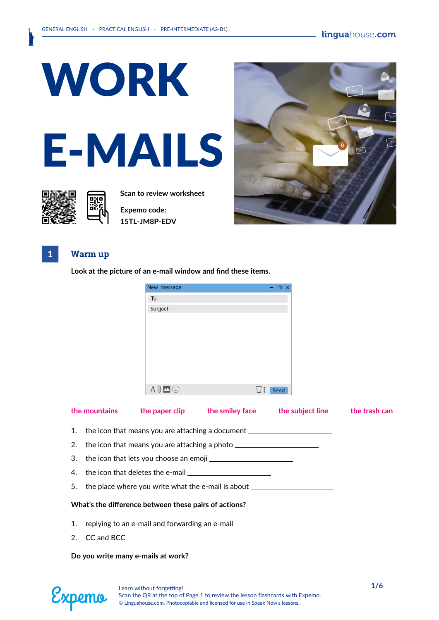

**Scan to review worksheet** 

**Expemo code: 15TL-JM8P-EDV**



### **1 Warm up**

**Look at the picture of an e-mail window and find these items.**

| New message             | - □ ×                       |
|-------------------------|-----------------------------|
| To                      |                             |
| Subject                 |                             |
|                         |                             |
|                         |                             |
|                         |                             |
|                         |                             |
|                         |                             |
|                         |                             |
|                         |                             |
| $A \nVert \blacksquare$ | $\overline{\bigcup}$ : Send |

## **the mountains** the paper clip the smiley face the subject line the trash can 1. the icon that means you are attaching a document \_\_\_\_\_ 2. the icon that means you are attaching a photo 3. the icon that lets you choose an emoji 4. the icon that deletes the e-mail 5. the place where you write what the e-mail is about  $\equiv$ **What's the difference between these pairs of actions?** 1. replying to an e-mail and forwarding an e-mail

2. CC and BCC

#### **Do you write many e-mails at work?**

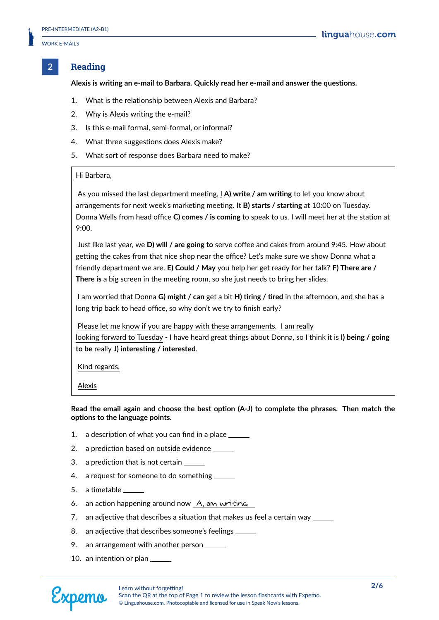#### **2 Reading**

**Alexis is writing an e-mail to Barbara. Quickly read her e-mail and answer the questions.**

- 1. What is the relationship between Alexis and Barbara?
- 2. Why is Alexis writing the e-mail?
- 3. Is this e-mail formal, semi-formal, or informal?
- 4. What three suggestions does Alexis make?
- 5. What sort of response does Barbara need to make?

#### Hi Barbara,

As you missed the last department meeting, I **A) write / am writing** to let you know about arrangements for next week's marketing meeting. It **B) starts / starting** at 10:00 on Tuesday. Donna Wells from head office **C) comes / is coming** to speak to us. I will meet her at the station at 9:00.

Just like last year, we **D) will / are going to** serve coffee and cakes from around 9:45. How about getting the cakes from that nice shop near the office? Let's make sure we show Donna what a friendly department we are. **E) Could / May** you help her get ready for her talk? **F) There are / There is** a big screen in the meeting room, so she just needs to bring her slides.

I am worried that Donna **G) might / can** get a bit **H) tiring / tired** in the afternoon, and she has a long trip back to head office, so why don't we try to finish early?

Please let me know if you are happy with these arrangements. I am really looking forward to Tuesday - I have heard great things about Donna, so I think it is **I) being / going to be** really **J) interesting / interested**.

Kind regards,

Alexis

**Read the email again and choose the best option (A-J) to complete the phrases. Then match the options to the language points.**

- 1. a description of what you can find in a place
- 2. a prediction based on outside evidence
- 3. a prediction that is not certain
- 4. a request for someone to do something
- 5. a timetable
- 6. an action happening around now A, am writing
- 7. an adjective that describes a situation that makes us feel a certain way  $\equiv$
- 8. an adjective that describes someone's feelings
- 9. an arrangement with another person
- 10. an intention or plan



Scan the QR at the top of Page 1 to review the lesson flashcards with Expemo. © Linguahouse.com. Photocopiable and licensed for use in Speak Now's lessons.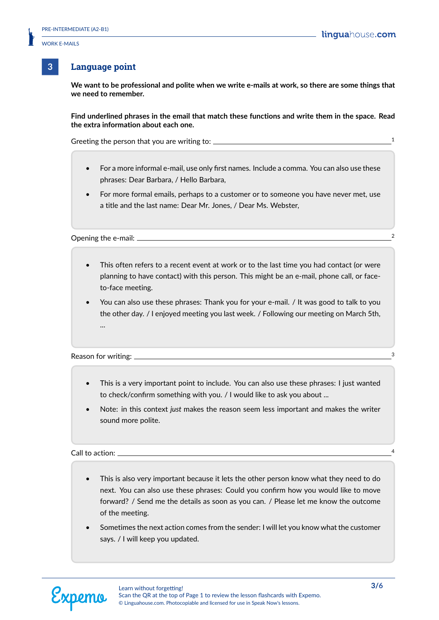#### **3 Language point**

**We want to be professional and polite when we write e-mails at work, so there are some things that we need to remember.**

**Find underlined phrases in the email that match these functions and write them in the space. Read the extra information about each one.**

Greeting the person that you are writing to: <sup>1</sup>

- For a more informal e-mail, use only first names. Include a comma. You can also use these phrases: Dear Barbara, / Hello Barbara,
- For more formal emails, perhaps to a customer or to someone you have never met, use a title and the last name: Dear Mr. Jones, / Dear Ms. Webster,

Opening the e-mail: 2

- This often refers to a recent event at work or to the last time you had contact (or were planning to have contact) with this person. This might be an e-mail, phone call, or faceto-face meeting.
- You can also use these phrases: Thank you for your e-mail. / It was good to talk to you the other day. / I enjoyed meeting you last week. / Following our meeting on March 5th, ...

Reason for writing: <sup>3</sup>

- This is a very important point to include. You can also use these phrases: I just wanted to check/confirm something with you. / I would like to ask you about ...
- Note: in this context *just* makes the reason seem less important and makes the writer sound more polite.

Call to action:

- This is also very important because it lets the other person know what they need to do next. You can also use these phrases: Could you confirm how you would like to move forward? / Send me the details as soon as you can. / Please let me know the outcome of the meeting.
- Sometimes the next action comes from the sender: I will let you know what the customer says. / I will keep you updated.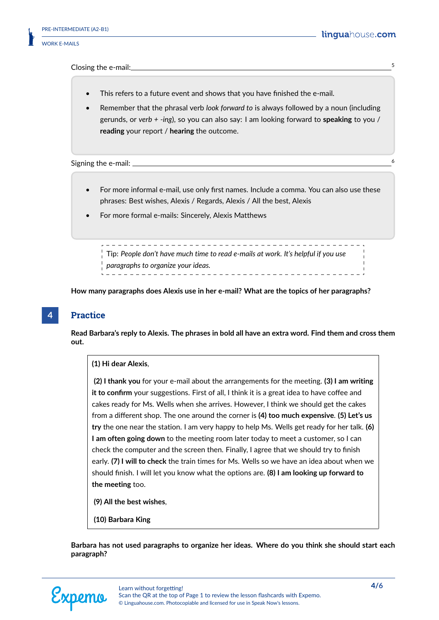Closing the e-mail: 5

- This refers to a future event and shows that you have finished the e-mail.
- Remember that the phrasal verb *look forward to* is always followed by a noun (including gerunds, or *verb + -ing*), so you can also say: I am looking forward to **speaking** to you / **reading** your report / **hearing** the outcome.

Signing the e-mail:

- For more informal e-mail, use only first names. Include a comma. You can also use these phrases: Best wishes, Alexis / Regards, Alexis / All the best, Alexis
- For more formal e-mails: Sincerely, Alexis Matthews

\_\_\_\_\_\_\_\_\_\_\_\_\_\_\_\_\_\_\_\_\_\_\_\_\_\_ Tip: *People don't have much time to read e-mails at work. It's helpful if you use paragraphs to organize your ideas.*

**How many paragraphs does Alexis use in her e-mail? What are the topics of her paragraphs?**

#### **4 Practice**

**Read Barbara's reply to Alexis. The phrases in bold all have an extra word. Find them and cross them out.**

#### **(1) Hi dear Alexis**,

**(2) I thank you** for your e-mail about the arrangements for the meeting. **(3) I am writing it to confirm** your suggestions. First of all, I think it is a great idea to have coffee and cakes ready for Ms. Wells when she arrives. However, I think we should get the cakes from a different shop. The one around the corner is **(4) too much expensive**. **(5) Let's us try** the one near the station. I am very happy to help Ms. Wells get ready for her talk. **(6) I am often going down** to the meeting room later today to meet a customer, so I can check the computer and the screen then. Finally, I agree that we should try to finish early. **(7) I will to check** the train times for Ms. Wells so we have an idea about when we should finish. I will let you know what the options are. **(8) I am looking up forward to the meeting** too.

- **(9) All the best wishes**,
- **(10) Barbara King**

**Barbara has not used paragraphs to organize her ideas. Where do you think she should start each paragraph?**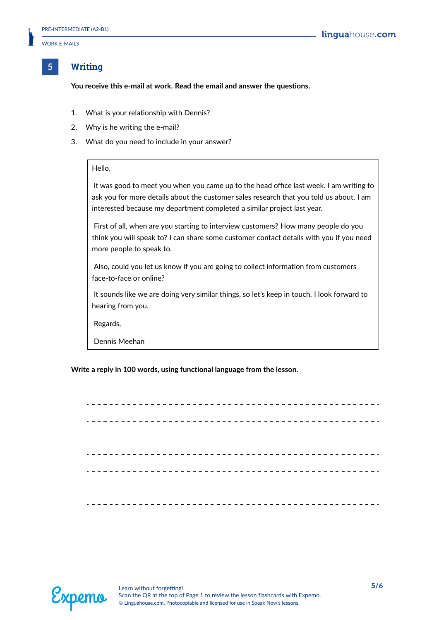#### **5 Writing**

**You receive this e-mail at work. Read the email and answer the questions.**

- 1. What is your relationship with Dennis?
- 2. Why is he writing the e-mail?
- 3. What do you need to include in your answer?

#### Hello,

It was good to meet you when you came up to the head office last week. I am writing to ask you for more details about the customer sales research that you told us about. I am interested because my department completed a similar project last year.

First of all, when are you starting to interview customers? How many people do you think you will speak to? I can share some customer contact details with you if you need more people to speak to.

Also, could you let us know if you are going to collect information from customers face-to-face or online?

It sounds like we are doing very similar things, so let's keep in touch. I look forward to hearing from you.

Regards,

Dennis Meehan

**Write a reply in 100 words, using functional language from the lesson.**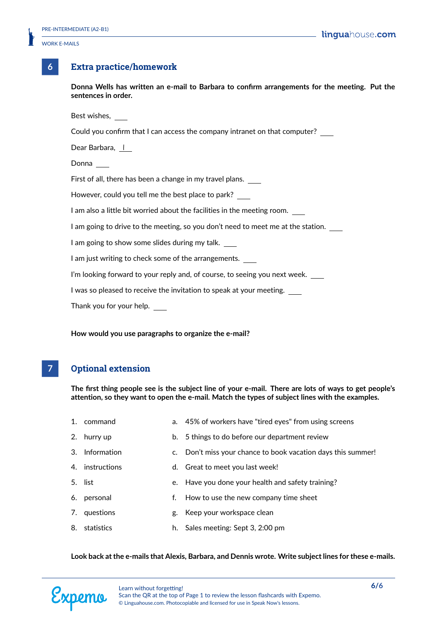#### **6 Extra practice/homework**

**Donna Wells has written an e-mail to Barbara to confirm arrangements for the meeting. Put the sentences in order.**

Best wishes,

Could you confirm that I can access the company intranet on that computer?

Dear Barbara, 1

Donna

First of all, there has been a change in my travel plans.

However, could you tell me the best place to park?

I am also a little bit worried about the facilities in the meeting room.

I am going to drive to the meeting, so you don't need to meet me at the station.

I am going to show some slides during my talk.

I am just writing to check some of the arrangements.

I'm looking forward to your reply and, of course, to seeing you next week.

I was so pleased to receive the invitation to speak at your meeting.

Thank you for your help.

**How would you use paragraphs to organize the e-mail?**

#### **7 Optional extension**

**The first thing people see is the subject line of your e-mail. There are lots of ways to get people's attention, so they want to open the e-mail. Match the types of subject lines with the examples.**

- 1. command a. 45% of workers have "tired eyes" from using screens 2. hurry up b. 5 things to do before our department review 3. Information c. Don't miss your chance to book vacation days this summer! 4. instructions d. Great to meet you last week!
- 5. list e. Have you done your health and safety training?
- 6. personal f. How to use the new company time sheet
- 7. questions g. Keep your workspace clean
- 8. statistics h. Sales meeting: Sept 3, 2:00 pm

**Look back at the e-mails that Alexis, Barbara, and Dennis wrote. Write subject lines for these e-mails.**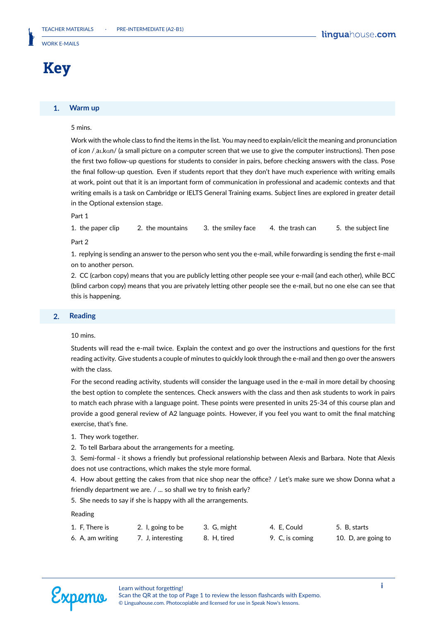## **Key**

#### **1. Warm up**

#### 5 mins.

Work with the whole class to find the items in the list. You may need to explain/elicit the meaning and pronunciation of *icon* /aI.kAn/ (a small picture on a computer screen that we use to give the computer instructions). Then pose the first two follow-up questions for students to consider in pairs, before checking answers with the class. Pose the final follow-up question. Even if students report that they don't have much experience with writing emails at work, point out that it is an important form of communication in professional and academic contexts and that writing emails is a task on Cambridge or IELTS General Training exams. Subject lines are explored in greater detail in the Optional extension stage.

#### Part 1

1. the paper clip 2. the mountains 3. the smiley face 4. the trash can 5. the subject line

Part 2

1. replying is sending an answer to the person who sent you the e-mail, while forwarding is sending the first e-mail on to another person.

2. CC (carbon copy) means that you are publicly letting other people see your e-mail (and each other), while BCC (blind carbon copy) means that you are privately letting other people see the e-mail, but no one else can see that this is happening.

#### **2. Reading**

#### 10 mins.

Students will read the e-mail twice. Explain the context and go over the instructions and questions for the first reading activity. Give students a couple of minutes to quickly look through the e-mail and then go over the answers with the class.

For the second reading activity, students will consider the language used in the e-mail in more detail by choosing the best option to complete the sentences. Check answers with the class and then ask students to work in pairs to match each phrase with a language point. These points were presented in units 25-34 of this course plan and provide a good general review of A2 language points. However, if you feel you want to omit the final matching exercise, that's fine.

- 1. They work together.
- 2. To tell Barbara about the arrangements for a meeting.

3. Semi-formal - it shows a friendly but professional relationship between Alexis and Barbara. Note that Alexis does not use contractions, which makes the style more formal.

4. How about getting the cakes from that nice shop near the office? / Let's make sure we show Donna what a friendly department we are. / ... so shall we try to finish early?

5. She needs to say if she is happy with all the arrangements.

Reading

| 1. F. There is   | 2. I, going to be | 3. G, might | 4. E. Could     | 5. B. starts        |
|------------------|-------------------|-------------|-----------------|---------------------|
| 6. A, am writing | 7. J. interesting | 8. H. tired | 9. C, is coming | 10. D, are going to |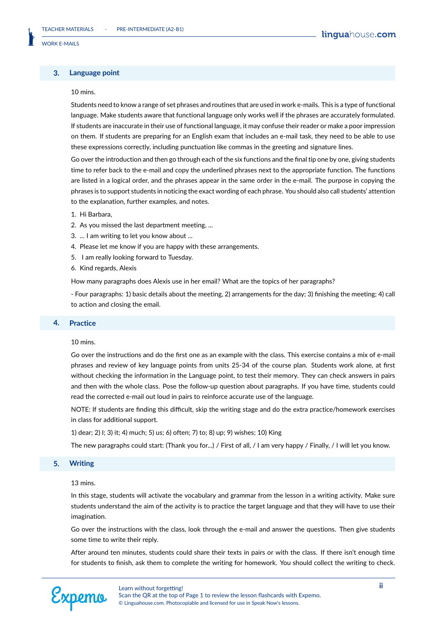#### **3. Language point**

#### $10 \text{ mins}$

Students need to know a range of set phrases and routines that are used in work e-mails. This is a type of functional language. Make students aware that functional language only works well if the phrases are accurately formulated. If students are inaccurate in their use of functional language, it may confuse their reader or make a poor impression on them. If students are preparing for an English exam that includes an e-mail task, they need to be able to use these expressions correctly, including punctuation like commas in the greeting and signature lines.

Go over the introduction and then go through each of the six functions and the final tip one by one, giving students time to refer back to the e-mail and copy the underlined phrases next to the appropriate function. The functions are listed in a logical order, and the phrases appear in the same order in the e-mail. The purpose in copying the phrases is to support students in noticing the exact wording of each phrase. You should also call students' attention to the explanation, further examples, and notes.

- 1. Hi Barbara,
- 2. As you missed the last department meeting, ...
- 3. ... I am writing to let you know about ...
- 4. Please let me know if you are happy with these arrangements.
- 5. I am really looking forward to Tuesday.
- 6. Kind regards, Alexis

How many paragraphs does Alexis use in her email? What are the topics of her paragraphs?

- Four paragraphs: 1) basic details about the meeting, 2) arrangements for the day; 3) finishing the meeting; 4) call to action and closing the email.

#### **4. Practice**

#### 10 mins.

Go over the instructions and do the first one as an example with the class. This exercise contains a mix of e-mail phrases and review of key language points from units 25-34 of the course plan. Students work alone, at first without checking the information in the Language point, to test their memory. They can check answers in pairs and then with the whole class. Pose the follow-up question about paragraphs. If you have time, students could read the corrected e-mail out loud in pairs to reinforce accurate use of the language.

NOTE: If students are finding this difficult, skip the writing stage and do the extra practice/homework exercises in class for additional support.

1) dear; 2) I; 3) it; 4) much; 5) us; 6) often; 7) to; 8) up; 9) wishes; 10) King

The new paragraphs could start: (Thank you for...) / First of all, / I am very happy / Finally, / I will let you know.

#### **5. Writing**

#### 13 mins.

In this stage, students will activate the vocabulary and grammar from the lesson in a writing activity. Make sure students understand the aim of the activity is to practice the target language and that they will have to use their imagination.

Go over the instructions with the class, look through the e-mail and answer the questions. Then give students some time to write their reply.

After around ten minutes, students could share their texts in pairs or with the class. If there isn't enough time for students to finish, ask them to complete the writing for homework. You should collect the writing to check.

Scan the QR at the top of Page 1 to review the lesson flashcards with Expemo. © Linguahouse.com. Photocopiable and licensed for use in Speak Now's lessons.